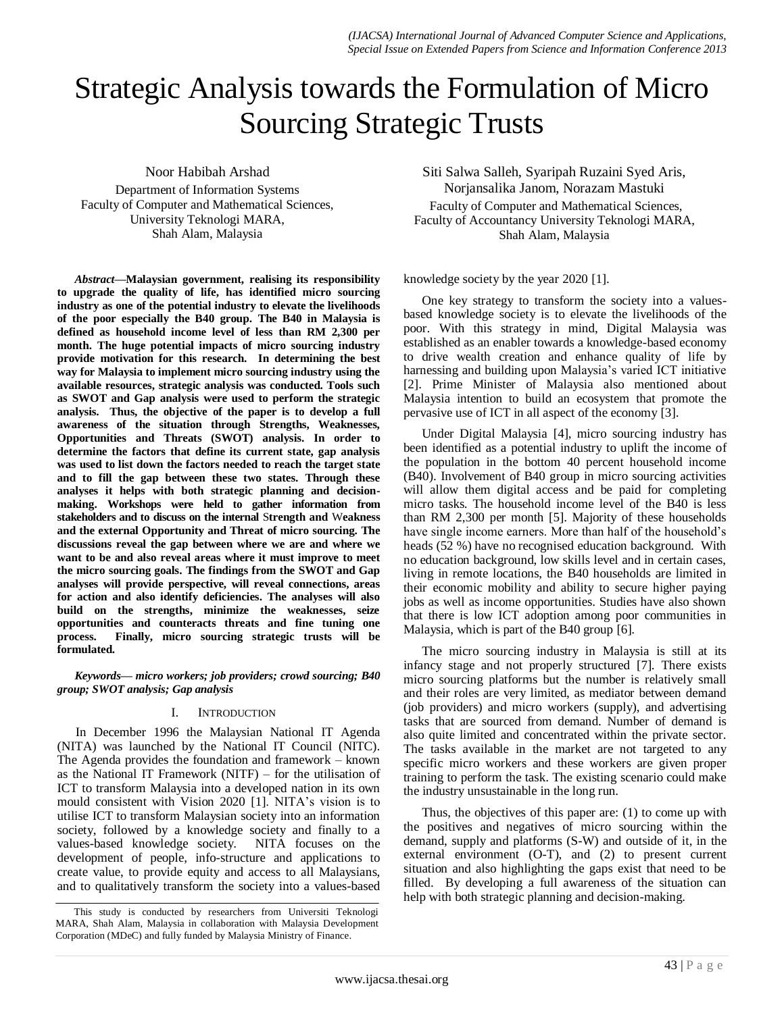# Strategic Analysis towards the Formulation of Micro Sourcing Strategic Trusts

Noor Habibah Arshad

Department of Information Systems Faculty of Computer and Mathematical Sciences, University Teknologi MARA, Shah Alam, Malaysia

*Abstract***—Malaysian government, realising its responsibility to upgrade the quality of life, has identified micro sourcing industry as one of the potential industry to elevate the livelihoods of the poor especially the B40 group. The B40 in Malaysia is defined as household income level of less than RM 2,300 per month. The huge potential impacts of micro sourcing industry provide motivation for this research. In determining the best way for Malaysia to implement micro sourcing industry using the available resources, strategic analysis was conducted. Tools such as SWOT and Gap analysis were used to perform the strategic analysis. Thus, the objective of the paper is to develop a full awareness of the situation through Strengths, Weaknesses, Opportunities and Threats (SWOT) analysis. In order to determine the factors that define its current state, gap analysis was used to list down the factors needed to reach the target state and to fill the gap between these two states. Through these analyses it helps with both strategic planning and decisionmaking. Workshops were held to gather information from stakeholders and to discuss on the internal** S**trength and** W**eakness and the external Opportunity and Threat of micro sourcing. The discussions reveal the gap between where we are and where we want to be and also reveal areas where it must improve to meet the micro sourcing goals. The findings from the SWOT and Gap analyses will provide perspective, will reveal connections, areas for action and also identify deficiencies. The analyses will also build on the strengths, minimize the weaknesses, seize opportunities and counteracts threats and fine tuning one process. Finally, micro sourcing strategic trusts will be formulated.**

*Keywords— micro workers; job providers; crowd sourcing; B40 group; SWOT analysis; Gap analysis*

#### I. INTRODUCTION

In December 1996 the Malaysian National IT Agenda (NITA) was launched by the National IT Council (NITC). The Agenda provides the foundation and framework – known as the National IT Framework (NITF) – for the utilisation of ICT to transform Malaysia into a developed nation in its own mould consistent with Vision 2020 [1]. NITA's vision is to utilise ICT to transform Malaysian society into an information society, followed by a knowledge society and finally to a values-based knowledge society. NITA focuses on the development of people, info-structure and applications to create value, to provide equity and access to all Malaysians, and to qualitatively transform the society into a values-based

This study is conducted by researchers from Universiti Teknologi MARA, Shah Alam, Malaysia in collaboration with Malaysia Development Corporation (MDeC) and fully funded by Malaysia Ministry of Finance.

Siti Salwa Salleh, Syaripah Ruzaini Syed Aris, Norjansalika Janom, Norazam Mastuki Faculty of Computer and Mathematical Sciences, Faculty of Accountancy University Teknologi MARA, Shah Alam, Malaysia

knowledge society by the year 2020 [1].

One key strategy to transform the society into a valuesbased knowledge society is to elevate the livelihoods of the poor. With this strategy in mind, Digital Malaysia was established as an enabler towards a knowledge-based economy to drive wealth creation and enhance quality of life by harnessing and building upon Malaysia's varied ICT initiative [2]. Prime Minister of Malaysia also mentioned about Malaysia intention to build an ecosystem that promote the pervasive use of ICT in all aspect of the economy [3].

Under Digital Malaysia [4], micro sourcing industry has been identified as a potential industry to uplift the income of the population in the bottom 40 percent household income (B40). Involvement of B40 group in micro sourcing activities will allow them digital access and be paid for completing micro tasks. The household income level of the B40 is less than RM 2,300 per month [5]. Majority of these households have single income earners. More than half of the household's heads (52 %) have no recognised education background. With no education background, low skills level and in certain cases, living in remote locations, the B40 households are limited in their economic mobility and ability to secure higher paying jobs as well as income opportunities. Studies have also shown that there is low ICT adoption among poor communities in Malaysia, which is part of the B40 group [6].

The micro sourcing industry in Malaysia is still at its infancy stage and not properly structured [7]. There exists micro sourcing platforms but the number is relatively small and their roles are very limited, as mediator between demand (job providers) and micro workers (supply), and advertising tasks that are sourced from demand. Number of demand is also quite limited and concentrated within the private sector. The tasks available in the market are not targeted to any specific micro workers and these workers are given proper training to perform the task. The existing scenario could make the industry unsustainable in the long run.

Thus, the objectives of this paper are: (1) to come up with the positives and negatives of micro sourcing within the demand, supply and platforms (S-W) and outside of it, in the external environment (O-T), and (2) to present current situation and also highlighting the gaps exist that need to be filled. By developing a full awareness of the situation can help with both strategic planning and decision-making.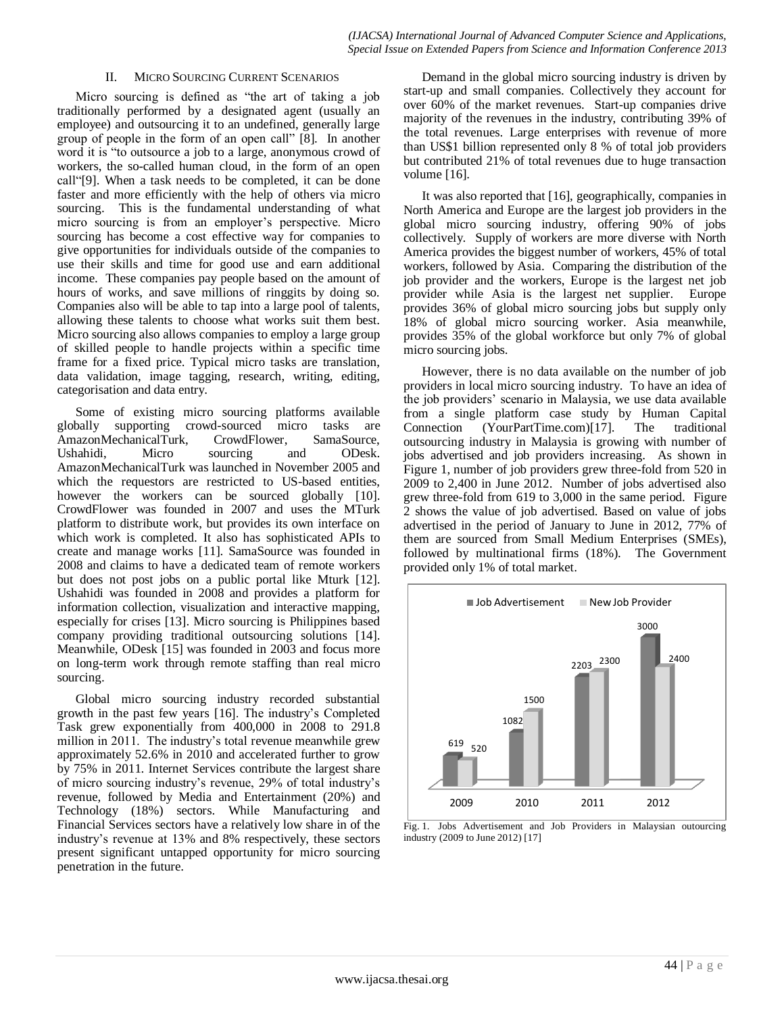#### II. MICRO SOURCING CURRENT SCENARIOS

Micro sourcing is defined as "the art of taking a job traditionally performed by a designated agent (usually an employee) and outsourcing it to an undefined, generally large group of people in the form of an open call" [8]. In another word it is "to outsource a job to a large, anonymous crowd of workers, the so-called human cloud, in the form of an open call"[9]. When a task needs to be completed, it can be done faster and more efficiently with the help of others via micro sourcing. This is the fundamental understanding of what micro sourcing is from an employer's perspective. Micro sourcing has become a cost effective way for companies to give opportunities for individuals outside of the companies to use their skills and time for good use and earn additional income. These companies pay people based on the amount of hours of works, and save millions of ringgits by doing so. Companies also will be able to tap into a large pool of talents, allowing these talents to choose what works suit them best. Micro sourcing also allows companies to employ a large group of skilled people to handle projects within a specific time frame for a fixed price. Typical micro tasks are translation, data validation, image tagging, research, writing, editing, categorisation and data entry.

Some of existing micro sourcing platforms available globally supporting crowd-sourced micro tasks are AmazonMechanicalTurk, CrowdFlower, SamaSource, Ushahidi, Micro sourcing and ODesk. AmazonMechanicalTurk was launched in November 2005 and which the requestors are restricted to US-based entities, however the workers can be sourced globally [10]. CrowdFlower was founded in 2007 and uses the MTurk platform to distribute work, but provides its own interface on which work is completed. It also has sophisticated APIs to create and manage works [11]. SamaSource was founded in 2008 and claims to have a dedicated team of remote workers but does not post jobs on a public portal like Mturk [12]. Ushahidi was founded in 2008 and provides a platform for information collection, visualization and interactive mapping, especially for crises [13]. Micro sourcing is Philippines based company providing traditional outsourcing solutions [14]. Meanwhile, ODesk [15] was founded in 2003 and focus more on long-term work through remote staffing than real micro sourcing.

Global micro sourcing industry recorded substantial growth in the past few years [16]. The industry's Completed Task grew exponentially from 400,000 in 2008 to 291.8 million in 2011. The industry's total revenue meanwhile grew approximately 52.6% in 2010 and accelerated further to grow by 75% in 2011. Internet Services contribute the largest share of micro sourcing industry's revenue, 29% of total industry's revenue, followed by Media and Entertainment (20%) and Technology (18%) sectors. While Manufacturing and Financial Services sectors have a relatively low share in of the industry's revenue at 13% and 8% respectively, these sectors present significant untapped opportunity for micro sourcing penetration in the future.

Demand in the global micro sourcing industry is driven by start-up and small companies. Collectively they account for over 60% of the market revenues. Start-up companies drive majority of the revenues in the industry, contributing 39% of the total revenues. Large enterprises with revenue of more than US\$1 billion represented only 8 % of total job providers but contributed 21% of total revenues due to huge transaction volume [16].

It was also reported that [16], geographically, companies in North America and Europe are the largest job providers in the global micro sourcing industry, offering 90% of jobs collectively. Supply of workers are more diverse with North America provides the biggest number of workers, 45% of total workers, followed by Asia. Comparing the distribution of the job provider and the workers, Europe is the largest net job provider while Asia is the largest net supplier. Europe provides 36% of global micro sourcing jobs but supply only 18% of global micro sourcing worker. Asia meanwhile, provides 35% of the global workforce but only 7% of global micro sourcing jobs.

However, there is no data available on the number of job providers in local micro sourcing industry. To have an idea of the job providers' scenario in Malaysia, we use data available from a single platform case study by Human Capital Connection (YourPartTime.com)[17]. The traditional outsourcing industry in Malaysia is growing with number of jobs advertised and job providers increasing. As shown in Figure 1, number of job providers grew three-fold from 520 in 2009 to 2,400 in June 2012. Number of jobs advertised also grew three-fold from 619 to 3,000 in the same period. Figure 2 shows the value of job advertised. Based on value of jobs advertised in the period of January to June in 2012, 77% of them are sourced from Small Medium Enterprises (SMEs), followed by multinational firms (18%). The Government provided only 1% of total market.



Fig. 1. Jobs Advertisement and Job Providers in Malaysian outourcing industry (2009 to June 2012) [17]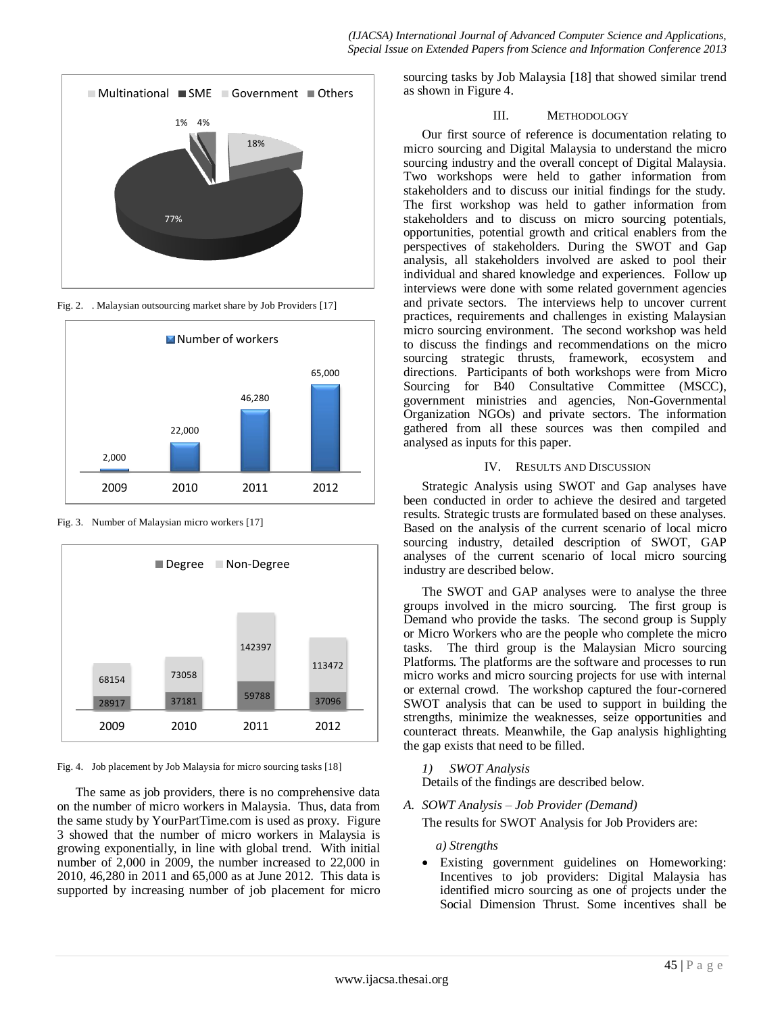

Fig. 2. . Malaysian outsourcing market share by Job Providers [17]



Fig. 3. Number of Malaysian micro workers [17]



Fig. 4. Job placement by Job Malaysia for micro sourcing tasks [18]

The same as job providers, there is no comprehensive data on the number of micro workers in Malaysia. Thus, data from the same study by YourPartTime.com is used as proxy. Figure 3 showed that the number of micro workers in Malaysia is growing exponentially, in line with global trend. With initial number of 2,000 in 2009, the number increased to 22,000 in 2010, 46,280 in 2011 and 65,000 as at June 2012. This data is supported by increasing number of job placement for micro

sourcing tasks by Job Malaysia [18] that showed similar trend as shown in Figure 4.

# III. METHODOLOGY

Our first source of reference is documentation relating to micro sourcing and Digital Malaysia to understand the micro sourcing industry and the overall concept of Digital Malaysia. Two workshops were held to gather information from stakeholders and to discuss our initial findings for the study. The first workshop was held to gather information from stakeholders and to discuss on micro sourcing potentials, opportunities, potential growth and critical enablers from the perspectives of stakeholders. During the SWOT and Gap analysis, all stakeholders involved are asked to pool their individual and shared knowledge and experiences. Follow up interviews were done with some related government agencies and private sectors. The interviews help to uncover current practices, requirements and challenges in existing Malaysian micro sourcing environment. The second workshop was held to discuss the findings and recommendations on the micro sourcing strategic thrusts, framework, ecosystem and directions. Participants of both workshops were from Micro Sourcing for B40 Consultative Committee (MSCC), government ministries and agencies, Non-Governmental Organization NGOs) and private sectors. The information gathered from all these sources was then compiled and analysed as inputs for this paper.

#### IV. RESULTS AND DISCUSSION

Strategic Analysis using SWOT and Gap analyses have been conducted in order to achieve the desired and targeted results. Strategic trusts are formulated based on these analyses. Based on the analysis of the current scenario of local micro sourcing industry, detailed description of SWOT, GAP analyses of the current scenario of local micro sourcing industry are described below.

The SWOT and GAP analyses were to analyse the three groups involved in the micro sourcing. The first group is Demand who provide the tasks. The second group is Supply or Micro Workers who are the people who complete the micro tasks. The third group is the Malaysian Micro sourcing Platforms. The platforms are the software and processes to run micro works and micro sourcing projects for use with internal or external crowd. The workshop captured the four-cornered SWOT analysis that can be used to support in building the strengths, minimize the weaknesses, seize opportunities and counteract threats. Meanwhile, the Gap analysis highlighting the gap exists that need to be filled.

# *1) SWOT Analysis*

Details of the findings are described below.

*A. SOWT Analysis – Job Provider (Demand)*

The results for SWOT Analysis for Job Providers are:

# *a) Strengths*

 Existing government guidelines on Homeworking: Incentives to job providers: Digital Malaysia has identified micro sourcing as one of projects under the Social Dimension Thrust. Some incentives shall be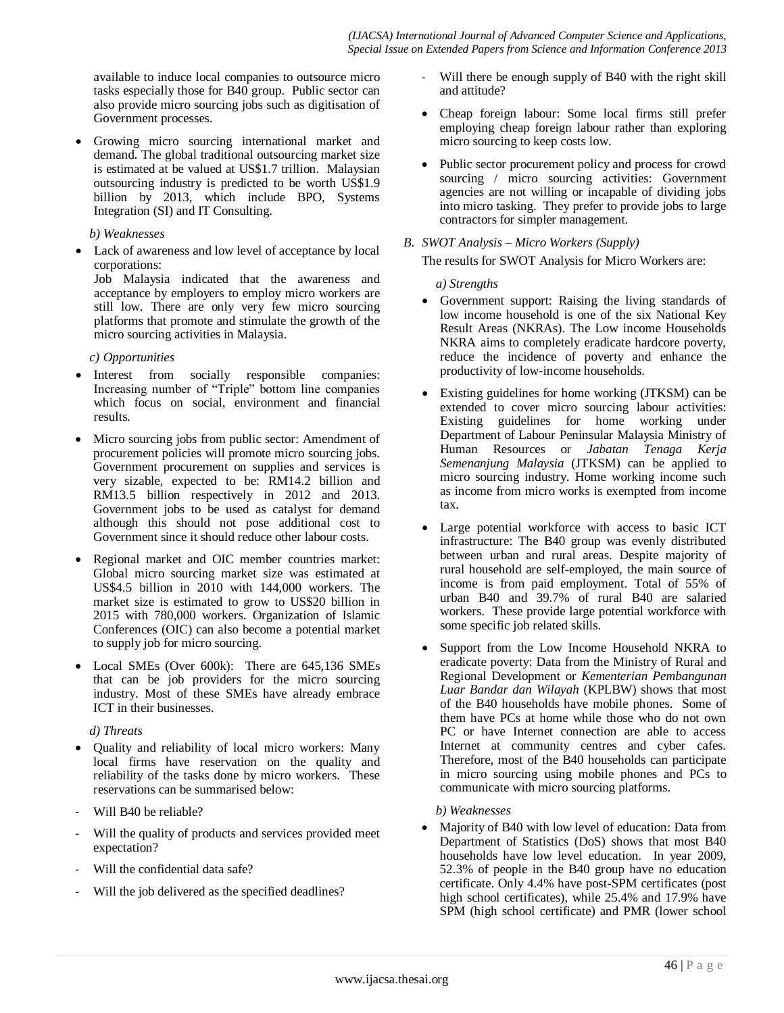available to induce local companies to outsource micro tasks especially those for B40 group. Public sector can also provide micro sourcing jobs such as digitisation of Government processes.

 Growing micro sourcing international market and demand. The global traditional outsourcing market size is estimated at be valued at US\$1.7 trillion. Malaysian outsourcing industry is predicted to be worth US\$1.9 billion by 2013, which include BPO, Systems Integration (SI) and IT Consulting.

#### *b) Weaknesses*

 Lack of awareness and low level of acceptance by local corporations:

Job Malaysia indicated that the awareness and acceptance by employers to employ micro workers are still low. There are only very few micro sourcing platforms that promote and stimulate the growth of the micro sourcing activities in Malaysia.

#### *c) Opportunities*

- Interest from socially responsible companies: Increasing number of "Triple" bottom line companies which focus on social, environment and financial results.
- Micro sourcing jobs from public sector: Amendment of procurement policies will promote micro sourcing jobs. Government procurement on supplies and services is very sizable, expected to be: RM14.2 billion and RM13.5 billion respectively in 2012 and 2013. Government jobs to be used as catalyst for demand although this should not pose additional cost to Government since it should reduce other labour costs.
- Regional market and OIC member countries market: Global micro sourcing market size was estimated at US\$4.5 billion in 2010 with 144,000 workers. The market size is estimated to grow to US\$20 billion in 2015 with 780,000 workers. Organization of Islamic Conferences (OIC) can also become a potential market to supply job for micro sourcing.
- Local SMEs (Over 600k): There are 645,136 SMEs that can be job providers for the micro sourcing industry. Most of these SMEs have already embrace ICT in their businesses.

# *d) Threats*

- Quality and reliability of local micro workers: Many local firms have reservation on the quality and reliability of the tasks done by micro workers. These reservations can be summarised below:
- Will B40 be reliable?
- Will the quality of products and services provided meet expectation?
- Will the confidential data safe?
- Will the job delivered as the specified deadlines?
- Will there be enough supply of B40 with the right skill and attitude?
- Cheap foreign labour: Some local firms still prefer employing cheap foreign labour rather than exploring micro sourcing to keep costs low.
- Public sector procurement policy and process for crowd sourcing / micro sourcing activities: Government agencies are not willing or incapable of dividing jobs into micro tasking. They prefer to provide jobs to large contractors for simpler management.

# *B. SWOT Analysis – Micro Workers (Supply)*

The results for SWOT Analysis for Micro Workers are:

# *a) Strengths*

- Government support: Raising the living standards of low income household is one of the six National Key Result Areas (NKRAs). The Low income Households NKRA aims to completely eradicate hardcore poverty, reduce the incidence of poverty and enhance the productivity of low-income households.
- Existing guidelines for home working (JTKSM) can be extended to cover micro sourcing labour activities: Existing guidelines for home working under Department of Labour Peninsular Malaysia Ministry of Human Resources or *Jabatan Tenaga Kerja Semenanjung Malaysia* (JTKSM) can be applied to micro sourcing industry. Home working income such as income from micro works is exempted from income tax.
- Large potential workforce with access to basic ICT infrastructure: The B40 group was evenly distributed between urban and rural areas. Despite majority of rural household are self-employed, the main source of income is from paid employment. Total of 55% of urban B40 and 39.7% of rural B40 are salaried workers. These provide large potential workforce with some specific job related skills.
- Support from the Low Income Household NKRA to eradicate poverty: Data from the Ministry of Rural and Regional Development or *Kementerian Pembangunan Luar Bandar dan Wilayah* (KPLBW) shows that most of the B40 households have mobile phones. Some of them have PCs at home while those who do not own PC or have Internet connection are able to access Internet at community centres and cyber cafes. Therefore, most of the B40 households can participate in micro sourcing using mobile phones and PCs to communicate with micro sourcing platforms.

# *b) Weaknesses*

• Majority of B40 with low level of education: Data from Department of Statistics (DoS) shows that most B40 households have low level education. In year 2009, 52.3% of people in the B40 group have no education certificate. Only 4.4% have post-SPM certificates (post high school certificates), while 25.4% and 17.9% have SPM (high school certificate) and PMR (lower school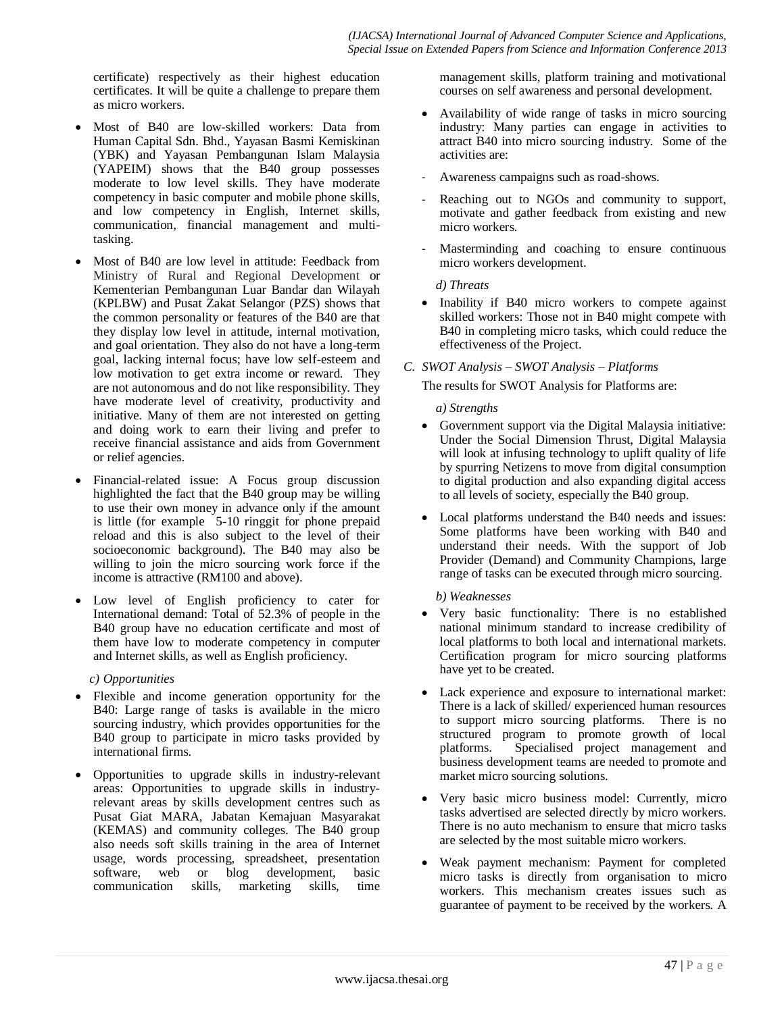certificate) respectively as their highest education certificates. It will be quite a challenge to prepare them as micro workers.

- Most of B40 are low-skilled workers: Data from Human Capital Sdn. Bhd., Yayasan Basmi Kemiskinan (YBK) and Yayasan Pembangunan Islam Malaysia (YAPEIM) shows that the B40 group possesses moderate to low level skills. They have moderate competency in basic computer and mobile phone skills, and low competency in English, Internet skills, communication, financial management and multitasking.
- Most of B40 are low level in attitude: Feedback from Ministry of Rural and Regional Development or Kementerian Pembangunan Luar Bandar dan Wilayah (KPLBW) and Pusat Zakat Selangor (PZS) shows that the common personality or features of the B40 are that they display low level in attitude, internal motivation, and goal orientation. They also do not have a long-term goal, lacking internal focus; have low self-esteem and low motivation to get extra income or reward. They are not autonomous and do not like responsibility. They have moderate level of creativity, productivity and initiative. Many of them are not interested on getting and doing work to earn their living and prefer to receive financial assistance and aids from Government or relief agencies.
- Financial-related issue: A Focus group discussion highlighted the fact that the B40 group may be willing to use their own money in advance only if the amount is little (for example 5-10 ringgit for phone prepaid reload and this is also subject to the level of their socioeconomic background). The B40 may also be willing to join the micro sourcing work force if the income is attractive (RM100 and above).
- Low level of English proficiency to cater for International demand: Total of 52.3% of people in the B40 group have no education certificate and most of them have low to moderate competency in computer and Internet skills, as well as English proficiency.

# *c) Opportunities*

- Flexible and income generation opportunity for the B40: Large range of tasks is available in the micro sourcing industry, which provides opportunities for the B40 group to participate in micro tasks provided by international firms.
- Opportunities to upgrade skills in industry-relevant areas: Opportunities to upgrade skills in industryrelevant areas by skills development centres such as Pusat Giat MARA, Jabatan Kemajuan Masyarakat (KEMAS) and community colleges. The B40 group also needs soft skills training in the area of Internet usage, words processing, spreadsheet, presentation software, web or blog development, basic communication skills, marketing skills, time

management skills, platform training and motivational courses on self awareness and personal development.

- Availability of wide range of tasks in micro sourcing industry: Many parties can engage in activities to attract B40 into micro sourcing industry. Some of the activities are:
- Awareness campaigns such as road-shows.
- Reaching out to NGOs and community to support, motivate and gather feedback from existing and new micro workers.
- Masterminding and coaching to ensure continuous micro workers development.

# *d) Threats*

• Inability if B40 micro workers to compete against skilled workers: Those not in B40 might compete with B40 in completing micro tasks, which could reduce the effectiveness of the Project.

# *C. SWOT Analysis – SWOT Analysis – Platforms*

The results for SWOT Analysis for Platforms are:

# *a) Strengths*

- Government support via the Digital Malaysia initiative: Under the Social Dimension Thrust, Digital Malaysia will look at infusing technology to uplift quality of life by spurring Netizens to move from digital consumption to digital production and also expanding digital access to all levels of society, especially the B40 group.
- Local platforms understand the B40 needs and issues: Some platforms have been working with B40 and understand their needs. With the support of Job Provider (Demand) and Community Champions, large range of tasks can be executed through micro sourcing.

# *b) Weaknesses*

- Very basic functionality: There is no established national minimum standard to increase credibility of local platforms to both local and international markets. Certification program for micro sourcing platforms have yet to be created.
- Lack experience and exposure to international market: There is a lack of skilled/ experienced human resources to support micro sourcing platforms. There is no structured program to promote growth of local platforms. Specialised project management and business development teams are needed to promote and market micro sourcing solutions.
- Very basic micro business model: Currently, micro tasks advertised are selected directly by micro workers. There is no auto mechanism to ensure that micro tasks are selected by the most suitable micro workers.
- Weak payment mechanism: Payment for completed micro tasks is directly from organisation to micro workers. This mechanism creates issues such as guarantee of payment to be received by the workers. A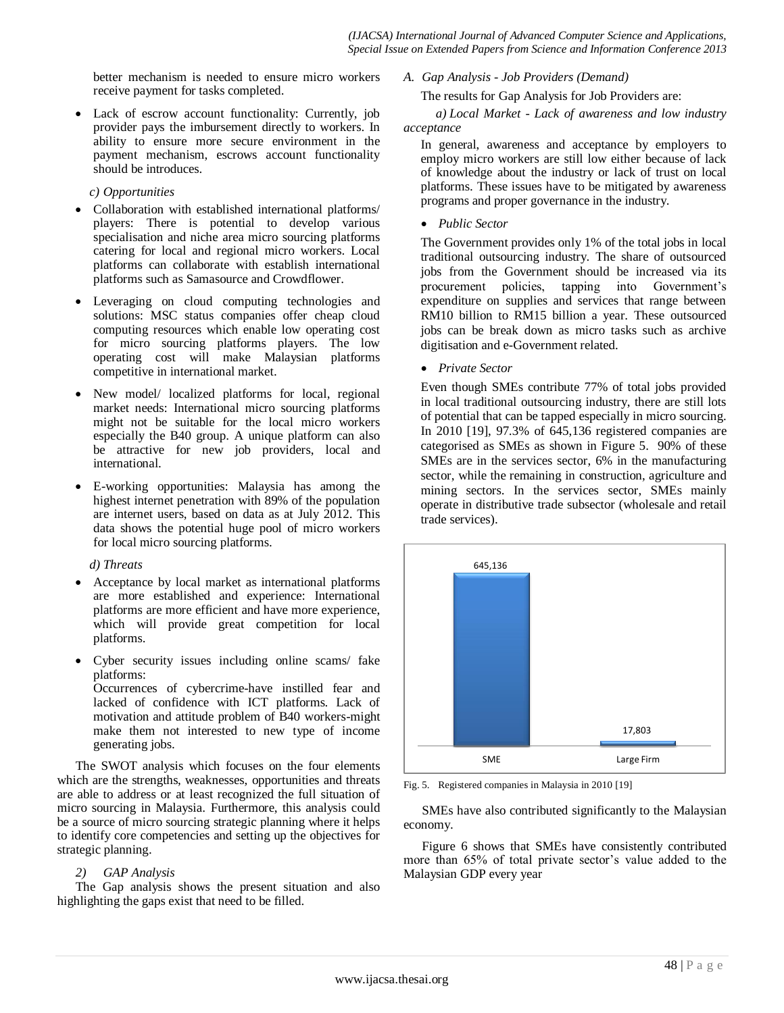better mechanism is needed to ensure micro workers receive payment for tasks completed.

 Lack of escrow account functionality: Currently, job provider pays the imbursement directly to workers. In ability to ensure more secure environment in the payment mechanism, escrows account functionality should be introduces.

*c) Opportunities*

- Collaboration with established international platforms/ players: There is potential to develop various specialisation and niche area micro sourcing platforms catering for local and regional micro workers. Local platforms can collaborate with establish international platforms such as Samasource and Crowdflower.
- Leveraging on cloud computing technologies and solutions: MSC status companies offer cheap cloud computing resources which enable low operating cost for micro sourcing platforms players. The low operating cost will make Malaysian platforms competitive in international market.
- New model/ localized platforms for local, regional market needs: International micro sourcing platforms might not be suitable for the local micro workers especially the B40 group. A unique platform can also be attractive for new job providers, local and international.
- E-working opportunities: Malaysia has among the highest internet penetration with 89% of the population are internet users, based on data as at July 2012. This data shows the potential huge pool of micro workers for local micro sourcing platforms.

# *d) Threats*

- Acceptance by local market as international platforms are more established and experience: International platforms are more efficient and have more experience, which will provide great competition for local platforms.
- Cyber security issues including online scams/ fake platforms: Occurrences of cybercrime-have instilled fear and lacked of confidence with ICT platforms. Lack of motivation and attitude problem of B40 workers-might

make them not interested to new type of income generating jobs.

The SWOT analysis which focuses on the four elements which are the strengths, weaknesses, opportunities and threats are able to address or at least recognized the full situation of micro sourcing in Malaysia. Furthermore, this analysis could be a source of micro sourcing strategic planning where it helps to identify core competencies and setting up the objectives for strategic planning.

# *2) GAP Analysis*

The Gap analysis shows the present situation and also highlighting the gaps exist that need to be filled.

*A. Gap Analysis - Job Providers (Demand)*

The results for Gap Analysis for Job Providers are:

*a) Local Market - Lack of awareness and low industry acceptance*

In general, awareness and acceptance by employers to employ micro workers are still low either because of lack of knowledge about the industry or lack of trust on local platforms. These issues have to be mitigated by awareness programs and proper governance in the industry.

*Public Sector*

The Government provides only 1% of the total jobs in local traditional outsourcing industry. The share of outsourced jobs from the Government should be increased via its procurement policies, tapping into Government's expenditure on supplies and services that range between RM10 billion to RM15 billion a year. These outsourced jobs can be break down as micro tasks such as archive digitisation and e-Government related.

*Private Sector*

Even though SMEs contribute 77% of total jobs provided in local traditional outsourcing industry, there are still lots of potential that can be tapped especially in micro sourcing. In 2010 [19], 97.3% of 645,136 registered companies are categorised as SMEs as shown in Figure 5. 90% of these SMEs are in the services sector, 6% in the manufacturing sector, while the remaining in construction, agriculture and mining sectors. In the services sector, SMEs mainly operate in distributive trade subsector (wholesale and retail trade services).



Fig. 5. Registered companies in Malaysia in 2010 [19]

SMEs have also contributed significantly to the Malaysian economy.

Figure 6 shows that SMEs have consistently contributed more than 65% of total private sector's value added to the Malaysian GDP every year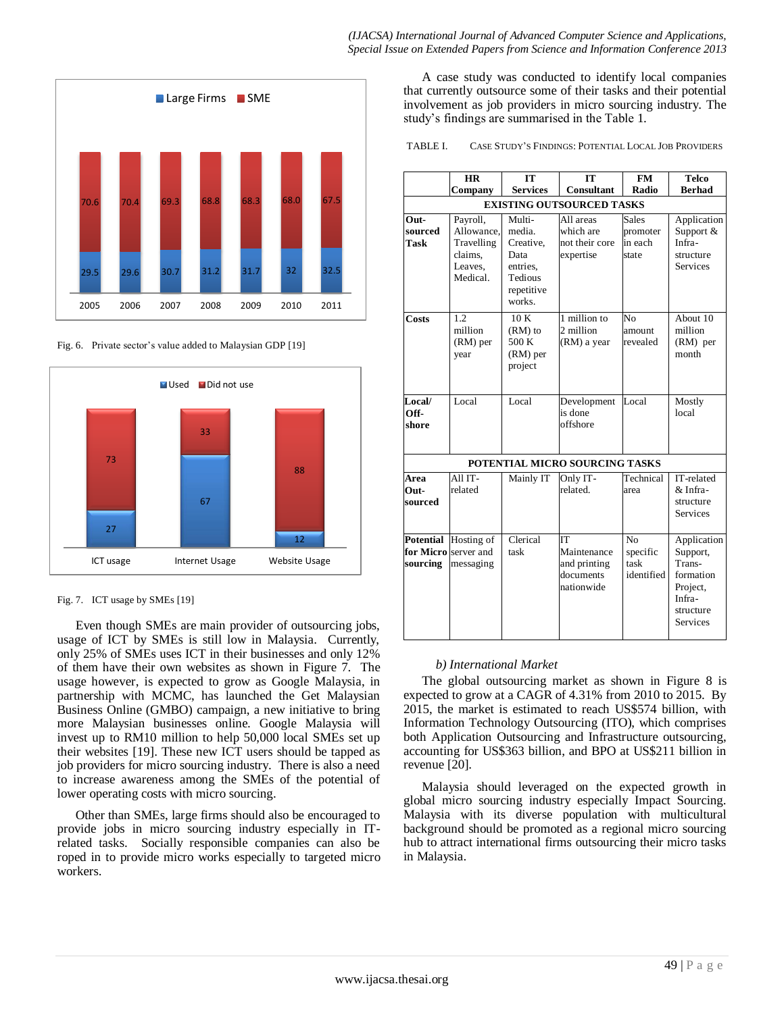

Fig. 6. Private sector's value added to Malaysian GDP [19]



Fig. 7. ICT usage by SMEs [19]

Even though SMEs are main provider of outsourcing jobs, usage of ICT by SMEs is still low in Malaysia. Currently, only 25% of SMEs uses ICT in their businesses and only 12% of them have their own websites as shown in Figure 7. The usage however, is expected to grow as Google Malaysia, in partnership with MCMC, has launched the Get Malaysian Business Online (GMBO) campaign, a new initiative to bring more Malaysian businesses online. [Google](http://archives.thestar.com.my/search/?q=Google) Malaysia will invest up to RM10 million to help 50,000 local SMEs set up their websites [19]. These new ICT users should be tapped as job providers for micro sourcing industry. There is also a need to increase awareness among the SMEs of the potential of lower operating costs with micro sourcing.

Other than SMEs, large firms should also be encouraged to provide jobs in micro sourcing industry especially in ITrelated tasks. Socially responsible companies can also be roped in to provide micro works especially to targeted micro workers.

A case study was conducted to identify local companies that currently outsource some of their tasks and their potential involvement as job providers in micro sourcing industry. The study's findings are summarised in the Table 1.

TABLE I. CASE STUDY'S FINDINGS: POTENTIAL LOCAL JOB PROVIDERS

|                                  | <b>HR</b>                                                              | <b>IT</b>                                                                            | <b>IT</b>                                                    | <b>FM</b>                             | <b>Telco</b>                                                                                         |
|----------------------------------|------------------------------------------------------------------------|--------------------------------------------------------------------------------------|--------------------------------------------------------------|---------------------------------------|------------------------------------------------------------------------------------------------------|
|                                  | Company                                                                | <b>Services</b>                                                                      | <b>Consultant</b>                                            | Radio                                 | <b>Berhad</b>                                                                                        |
| <b>EXISTING OUTSOURCED TASKS</b> |                                                                        |                                                                                      |                                                              |                                       |                                                                                                      |
| Out-<br>sourced<br>Task          | Payroll,<br>Allowance.<br>Travelling<br>claims.<br>Leaves.<br>Medical. | Multi-<br>media.<br>Creative,<br>Data<br>entries.<br>Tedious<br>repetitive<br>works. | All areas<br>which are<br>not their core<br>expertise        | Sales<br>promoter<br>in each<br>state | Application<br>Support &<br>Infra-<br>structure<br><b>Services</b>                                   |
| <b>Costs</b>                     | 1.2<br>million<br>(RM) per<br>year                                     | 10K<br>$(RM)$ to<br>500 K<br>(RM) per<br>project                                     | 1 million to<br>2 million<br>(RM) a year                     | N <sub>0</sub><br>amount<br>revealed  | About 10<br>million<br>(RM) per<br>month                                                             |
| Local/<br>Off-<br>shore          | Local                                                                  | Local                                                                                | Development<br>is done<br>offshore                           | Local                                 | Mostly<br>local                                                                                      |
| POTENTIAL MICRO SOURCING TASKS   |                                                                        |                                                                                      |                                                              |                                       |                                                                                                      |
| Area                             | All IT-                                                                | Mainly IT                                                                            | Only IT-                                                     | Technical                             | IT-related                                                                                           |
| Out-<br>sourced                  | related                                                                |                                                                                      | related.                                                     | area                                  | & Infra-<br>structure<br><b>Services</b>                                                             |
| <b>Potential</b><br>sourcing     | Hosting of<br>for Micro server and<br>messaging                        | Clerical<br>task                                                                     | ľТ<br>Maintenance<br>and printing<br>documents<br>nationwide | No<br>specific<br>task<br>identified  | Application<br>Support,<br>Trans-<br>formation<br>Project,<br>Infra-<br>structure<br><b>Services</b> |

# *b) International Market*

The global outsourcing market as shown in Figure 8 is expected to grow at a CAGR of 4.31% from 2010 to 2015. By 2015, the market is estimated to reach US\$574 billion, with Information Technology Outsourcing (ITO), which comprises both Application Outsourcing and Infrastructure outsourcing, accounting for US\$363 billion, and BPO at US\$211 billion in revenue [20].

Malaysia should leveraged on the expected growth in global micro sourcing industry especially Impact Sourcing. Malaysia with its diverse population with multicultural background should be promoted as a regional micro sourcing hub to attract international firms outsourcing their micro tasks in Malaysia.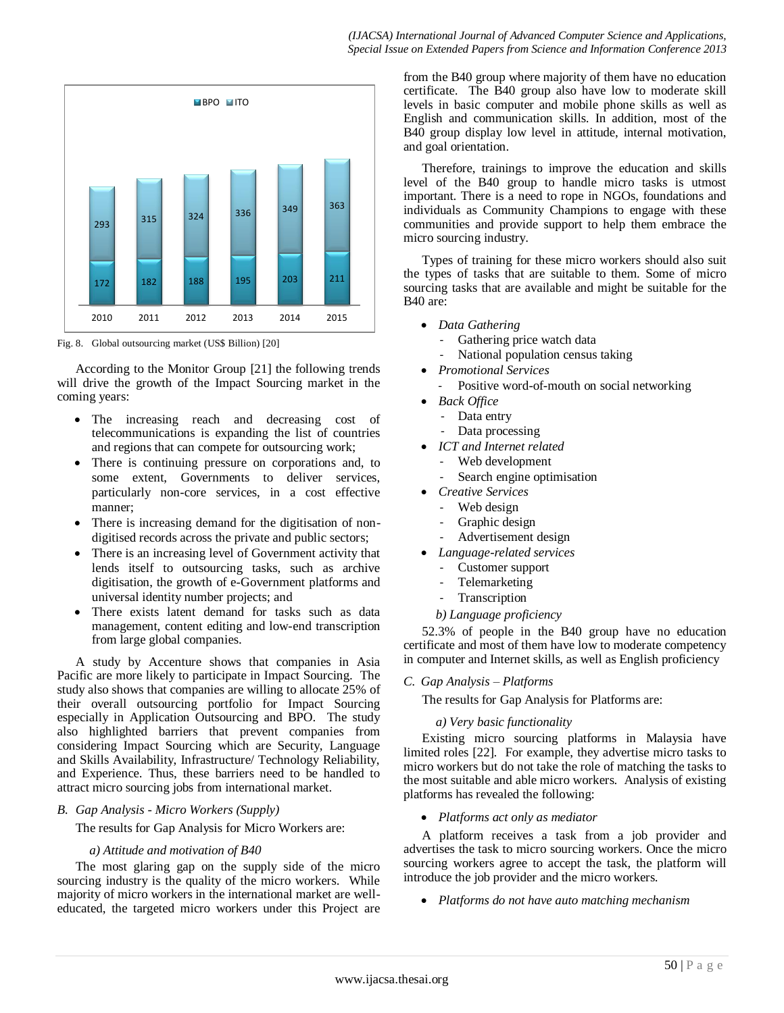

Fig. 8. Global outsourcing market (US\$ Billion) [20]

According to the Monitor Group [21] the following trends will drive the growth of the Impact Sourcing market in the coming years:

- The increasing reach and decreasing cost of telecommunications is expanding the list of countries and regions that can compete for outsourcing work;
- There is continuing pressure on corporations and, to some extent, Governments to deliver services, particularly non-core services, in a cost effective manner;
- There is increasing demand for the digitisation of nondigitised records across the private and public sectors;
- There is an increasing level of Government activity that lends itself to outsourcing tasks, such as archive digitisation, the growth of e-Government platforms and universal identity number projects; and
- There exists latent demand for tasks such as data management, content editing and low-end transcription from large global companies.

A study by Accenture shows that companies in Asia Pacific are more likely to participate in Impact Sourcing. The study also shows that companies are willing to allocate 25% of their overall outsourcing portfolio for Impact Sourcing especially in Application Outsourcing and BPO. The study also highlighted barriers that prevent companies from considering Impact Sourcing which are Security, Language and Skills Availability, Infrastructure/ Technology Reliability, and Experience. Thus, these barriers need to be handled to attract micro sourcing jobs from international market.

#### *B. Gap Analysis - Micro Workers (Supply)*

The results for Gap Analysis for Micro Workers are:

#### *a) Attitude and motivation of B40*

The most glaring gap on the supply side of the micro sourcing industry is the quality of the micro workers. While majority of micro workers in the international market are welleducated, the targeted micro workers under this Project are from the B40 group where majority of them have no education certificate. The B40 group also have low to moderate skill levels in basic computer and mobile phone skills as well as English and communication skills. In addition, most of the B40 group display low level in attitude, internal motivation, and goal orientation.

Therefore, trainings to improve the education and skills level of the B40 group to handle micro tasks is utmost important. There is a need to rope in NGOs, foundations and individuals as Community Champions to engage with these communities and provide support to help them embrace the micro sourcing industry.

Types of training for these micro workers should also suit the types of tasks that are suitable to them. Some of micro sourcing tasks that are available and might be suitable for the B40 are:

- *Data Gathering*
	- Gathering price watch data
	- National population census taking
- *Promotional Services*
	- Positive word-of-mouth on social networking
- *Back Office*
	- Data entry
		- Data processing
- *ICT and Internet related*
	- Web development
		- Search engine optimisation
- *Creative Services*
	- Web design
	- Graphic design
	- Advertisement design
- *Language-related services*
	- Customer support
	- Telemarketing
	- **Transcription**

# *b) Language proficiency*

52.3% of people in the B40 group have no education certificate and most of them have low to moderate competency in computer and Internet skills, as well as English proficiency

*C. Gap Analysis – Platforms*

The results for Gap Analysis for Platforms are:

# *a) Very basic functionality*

Existing micro sourcing platforms in Malaysia have limited roles [22]. For example, they advertise micro tasks to micro workers but do not take the role of matching the tasks to the most suitable and able micro workers. Analysis of existing platforms has revealed the following:

*Platforms act only as mediator*

A platform receives a task from a job provider and advertises the task to micro sourcing workers. Once the micro sourcing workers agree to accept the task, the platform will introduce the job provider and the micro workers.

*Platforms do not have auto matching mechanism*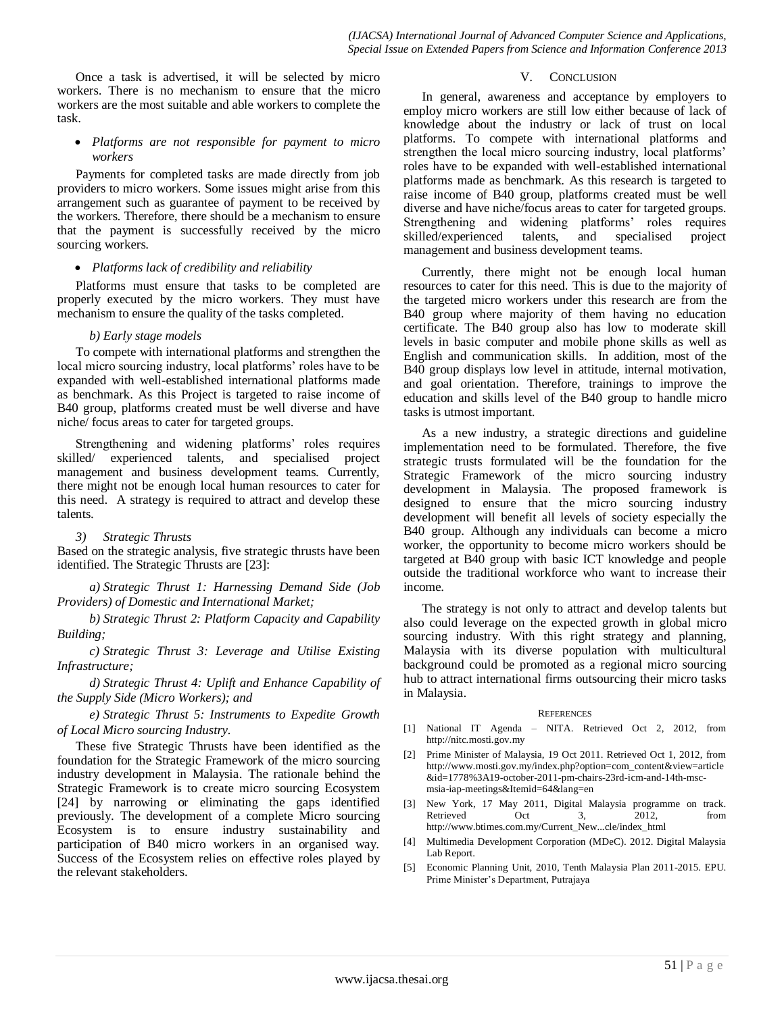Once a task is advertised, it will be selected by micro workers. There is no mechanism to ensure that the micro workers are the most suitable and able workers to complete the task.

#### *Platforms are not responsible for payment to micro workers*

Payments for completed tasks are made directly from job providers to micro workers. Some issues might arise from this arrangement such as guarantee of payment to be received by the workers. Therefore, there should be a mechanism to ensure that the payment is successfully received by the micro sourcing workers.

#### *Platforms lack of credibility and reliability*

Platforms must ensure that tasks to be completed are properly executed by the micro workers. They must have mechanism to ensure the quality of the tasks completed.

#### *b) Early stage models*

To compete with international platforms and strengthen the local micro sourcing industry, local platforms' roles have to be expanded with well-established international platforms made as benchmark. As this Project is targeted to raise income of B40 group, platforms created must be well diverse and have niche/ focus areas to cater for targeted groups.

Strengthening and widening platforms' roles requires skilled/ experienced talents, and specialised project management and business development teams. Currently, there might not be enough local human resources to cater for this need. A strategy is required to attract and develop these talents.

#### *3) Strategic Thrusts*

Based on the strategic analysis, five strategic thrusts have been identified. The Strategic Thrusts are [23]:

*a) Strategic Thrust 1: Harnessing Demand Side (Job Providers) of Domestic and International Market;*

*b) Strategic Thrust 2: Platform Capacity and Capability Building;*

*c) Strategic Thrust 3: Leverage and Utilise Existing Infrastructure;*

*d) Strategic Thrust 4: Uplift and Enhance Capability of the Supply Side (Micro Workers); and*

*e) Strategic Thrust 5: Instruments to Expedite Growth of Local Micro sourcing Industry.*

These five Strategic Thrusts have been identified as the foundation for the Strategic Framework of the micro sourcing industry development in Malaysia. The rationale behind the Strategic Framework is to create micro sourcing Ecosystem [24] by narrowing or eliminating the gaps identified previously. The development of a complete Micro sourcing Ecosystem is to ensure industry sustainability and participation of B40 micro workers in an organised way. Success of the Ecosystem relies on effective roles played by the relevant stakeholders.

#### V. CONCLUSION

In general, awareness and acceptance by employers to employ micro workers are still low either because of lack of knowledge about the industry or lack of trust on local platforms. To compete with international platforms and strengthen the local micro sourcing industry, local platforms' roles have to be expanded with well-established international platforms made as benchmark. As this research is targeted to raise income of B40 group, platforms created must be well diverse and have niche/focus areas to cater for targeted groups. Strengthening and widening platforms' roles requires skilled/experienced talents, and specialised project management and business development teams.

Currently, there might not be enough local human resources to cater for this need. This is due to the majority of the targeted micro workers under this research are from the B40 group where majority of them having no education certificate. The B40 group also has low to moderate skill levels in basic computer and mobile phone skills as well as English and communication skills. In addition, most of the B40 group displays low level in attitude, internal motivation, and goal orientation. Therefore, trainings to improve the education and skills level of the B40 group to handle micro tasks is utmost important.

As a new industry, a strategic directions and guideline implementation need to be formulated. Therefore, the five strategic trusts formulated will be the foundation for the Strategic Framework of the micro sourcing industry development in Malaysia. The proposed framework is designed to ensure that the micro sourcing industry development will benefit all levels of society especially the B40 group. Although any individuals can become a micro worker, the opportunity to become micro workers should be targeted at B40 group with basic ICT knowledge and people outside the traditional workforce who want to increase their income.

The strategy is not only to attract and develop talents but also could leverage on the expected growth in global micro sourcing industry. With this right strategy and planning, Malaysia with its diverse population with multicultural background could be promoted as a regional micro sourcing hub to attract international firms outsourcing their micro tasks in Malaysia.

#### **REFERENCES**

- [1] National IT Agenda NITA. Retrieved Oct 2, 2012, from http://nitc.mosti.gov.my
- [2] Prime Minister of Malaysia, 19 Oct 2011. Retrieved Oct 1, 2012, from http://www.mosti.gov.my/index.php?option=com\_content&view=article &id=1778%3A19-october-2011-pm-chairs-23rd-icm-and-14th-mscmsia-iap-meetings&Itemid=64&lang=en
- [3] New York, 17 May 2011, Digital Malaysia programme on track. Retrieved Oct 3, 2012, from http://www.btimes.com.my/Current\_New...cle/index\_html
- [4] Multimedia Development Corporation (MDeC). 2012. Digital Malaysia Lab Report.
- [5] Economic Planning Unit, 2010, Tenth Malaysia Plan 2011-2015. EPU. Prime Minister's Department, Putrajaya